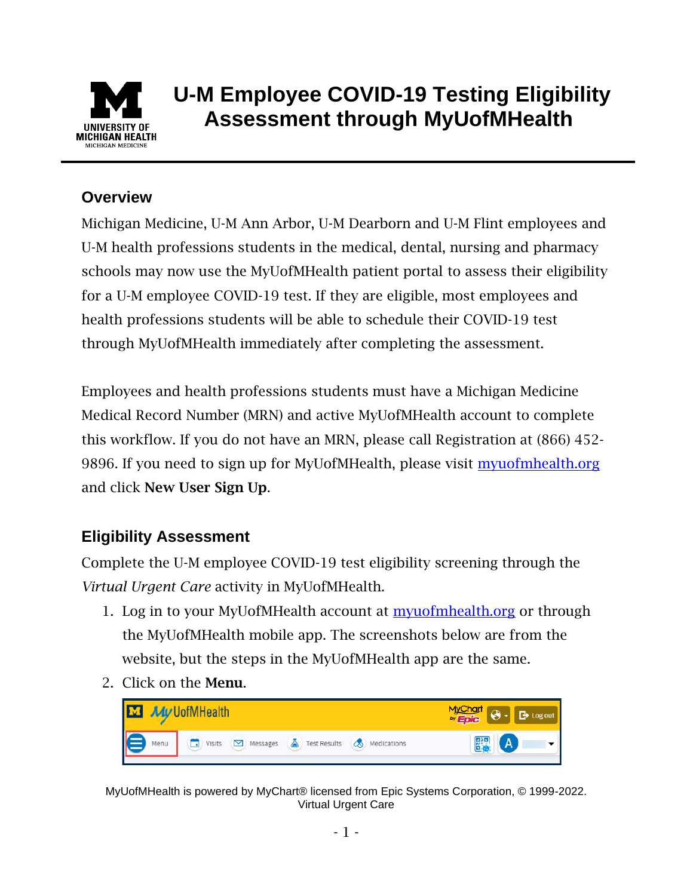

## **U-M Employee COVID-19 Testing Eligibility Assessment through MyUofMHealth**

## **Overview**

Michigan Medicine, U-M Ann Arbor, U-M Dearborn and U-M Flint employees and U-M health professions students in the medical, dental, nursing and pharmacy schools may now use the MyUofMHealth patient portal to assess their eligibility for a U-M employee COVID-19 test. If they are eligible, most employees and health professions students will be able to schedule their COVID-19 test through MyUofMHealth immediately after completing the assessment.

Employees and health professions students must have a Michigan Medicine Medical Record Number (MRN) and active MyUofMHealth account to complete this workflow. If you do not have an MRN, please call Registration at (866) 452 9896. If you need to sign up for MyUofMHealth, please visit [myuofmhealth.org](https://www.myuofmhealth.org/MyChart-PRD/Authentication/Login?) and click New User Sign Up.

## **Eligibility Assessment**

Complete the U-M employee COVID-19 test eligibility screening through the *Virtual Urgent Care* activity in MyUofMHealth.

- 1. Log in to your MyUofMHealth account at [myuofmhealth.org](https://www.myuofmhealth.org/MyChart-PRD/Authentication/Login?) or through the MyUofMHealth mobile app. The screenshots below are from the website, but the steps in the MyUofMHealth app are the same.
- 2. Click on the Menu.



MyUofMHealth is powered by MyChart® licensed from Epic Systems Corporation, © 1999-2022. Virtual Urgent Care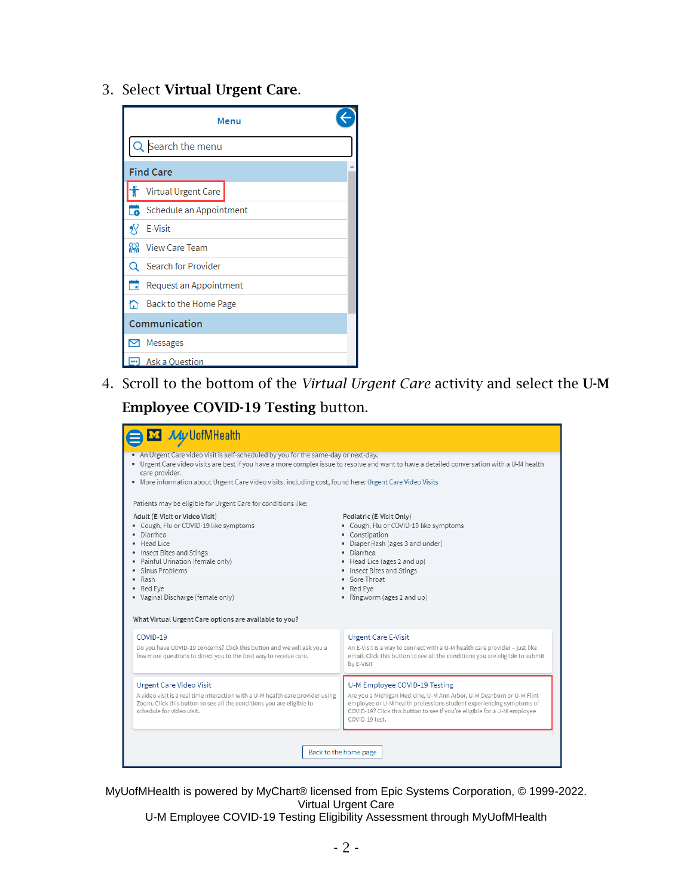3. Select Virtual Urgent Care.

|                   | Menu                    |  |
|-------------------|-------------------------|--|
| Q Search the menu |                         |  |
| <b>Find Care</b>  |                         |  |
|                   | Virtual Urgent Care     |  |
|                   | Schedule an Appointment |  |
| ۶Ÿ                | <b>E-Visit</b>          |  |
| ଲ                 | <b>View Care Team</b>   |  |
|                   | Search for Provider     |  |
| ┓                 | Request an Appointment  |  |
| ⋒                 | Back to the Home Page   |  |
| Communication     |                         |  |
|                   | Messages                |  |
|                   | <b>Ask a Question</b>   |  |

4. Scroll to the bottom of the *Virtual Urgent Care* activity and select the U-M Employee COVID-19 Testing button.

| <b>M</b> My UofMHealth                                                                                                                                                                                                                                                                                                                                         |                                                                                                                                                                                                                                                                             |  |  |
|----------------------------------------------------------------------------------------------------------------------------------------------------------------------------------------------------------------------------------------------------------------------------------------------------------------------------------------------------------------|-----------------------------------------------------------------------------------------------------------------------------------------------------------------------------------------------------------------------------------------------------------------------------|--|--|
| • An Urgent Care video visit is self-scheduled by you for the same-day or next-day.<br>• Urgent Care video visits are best if you have a more complex issue to resolve and want to have a detailed conversation with a U-M health<br>care provider.<br>. More information about Urgent Care video visits, including cost, found here: Urgent Care Video Visits |                                                                                                                                                                                                                                                                             |  |  |
| Patients may be eligible for Urgent Care for conditions like:                                                                                                                                                                                                                                                                                                  |                                                                                                                                                                                                                                                                             |  |  |
| Adult (E-Visit or Video Visit)<br>• Cough, Flu or COVID-19 like symptoms<br>· Diarrhea<br>· Head Lice<br>• Insect Bites and Stings<br>· Painful Urination (female only)<br>· Sinus Problems<br>• Rash<br>• Red Eve<br>· Vaginal Discharge (female only)<br>What Virtual Urgent Care options are available to you?                                              | Pediatric (E-Visit Only)<br>• Cough, Flu or COVID-19 like symptoms<br>• Constipation<br>• Diaper Rash (ages 3 and under)<br>• Diarrhea<br>• Head Lice (ages 2 and up)<br>• Insect Bites and Stings<br>• Sore Throat<br>• Red Eve<br>• Ringworm (ages 2 and up)              |  |  |
| COVID-19<br>Do you have COVID-19 concerns? Click this button and we will ask you a<br>few more questions to direct you to the best way to receive care.                                                                                                                                                                                                        | <b>Urgent Care E-Visit</b><br>An E-Visit is a way to connect with a U-M health care provider - just like<br>email. Click this button to see all the conditions you are eligible to submit<br>by E-Visit                                                                     |  |  |
| <b>Urgent Care Video Visit</b><br>A video visit is a real time interaction with a U-M health care provider using<br>Zoom. Click this button to see all the conditions you are eligible to<br>schedule for video visit.                                                                                                                                         | U-M Employee COVID-19 Testing<br>Are you a Michigan Medicine, U-M Ann Arbor, U-M Dearborn or U-M Flint<br>employee or U-M health professions student experiencing symptoms of<br>COVID-19? Click this button to see if you're eligible for a U-M employee<br>COVID-19 test. |  |  |
| Back to the home page                                                                                                                                                                                                                                                                                                                                          |                                                                                                                                                                                                                                                                             |  |  |

MyUofMHealth is powered by MyChart® licensed from Epic Systems Corporation, © 1999-2022. Virtual Urgent Care U-M Employee COVID-19 Testing Eligibility Assessment through MyUofMHealth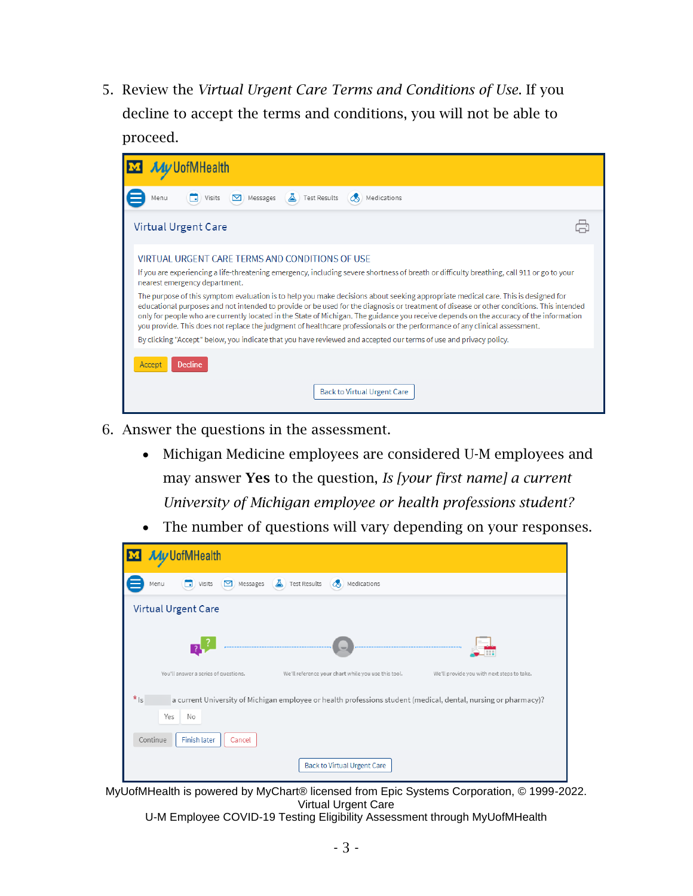5. Review the *Virtual Urgent Care Terms and Conditions of Use*. If you decline to accept the terms and conditions, you will not be able to proceed.



- 6. Answer the questions in the assessment.
	- Michigan Medicine employees are considered U-M employees and may answer Yes to the question, *Is [your first name] a current University of Michigan employee or health professions student?*
	- The number of questions will vary depending on your responses.



MyUofMHealth is powered by MyChart® licensed from Epic Systems Corporation, © 1999-2022. Virtual Urgent Care

U-M Employee COVID-19 Testing Eligibility Assessment through MyUofMHealth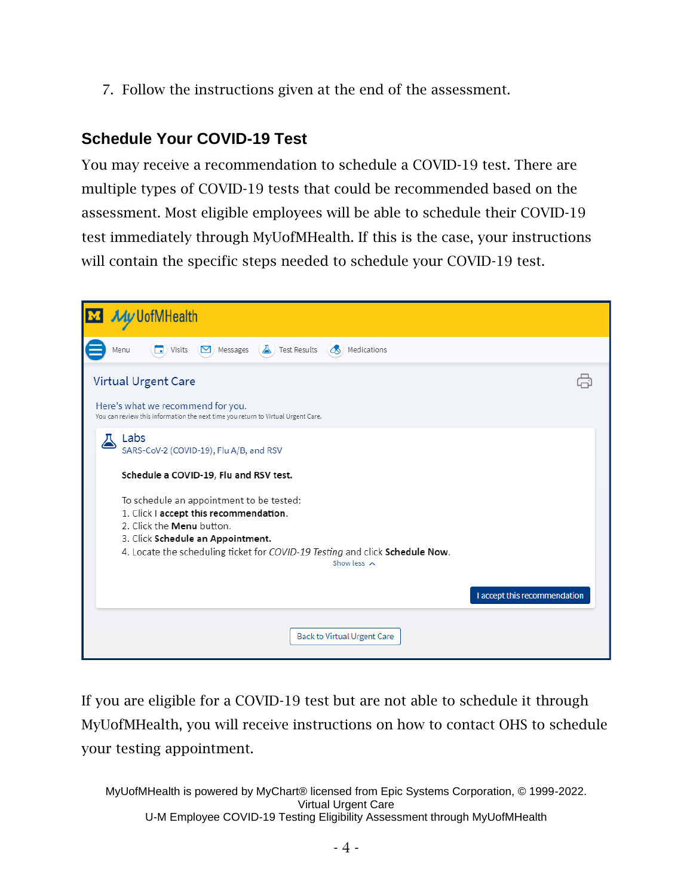7. Follow the instructions given at the end of the assessment.

## **Schedule Your COVID-19 Test**

You may receive a recommendation to schedule a COVID-19 test. There are multiple types of COVID-19 tests that could be recommended based on the assessment. Most eligible employees will be able to schedule their COVID-19 test immediately through MyUofMHealth. If this is the case, your instructions will contain the specific steps needed to schedule your COVID-19 test.



If you are eligible for a COVID-19 test but are not able to schedule it through MyUofMHealth, you will receive instructions on how to contact OHS to schedule your testing appointment.

MyUofMHealth is powered by MyChart® licensed from Epic Systems Corporation, © 1999-2022. Virtual Urgent Care U-M Employee COVID-19 Testing Eligibility Assessment through MyUofMHealth